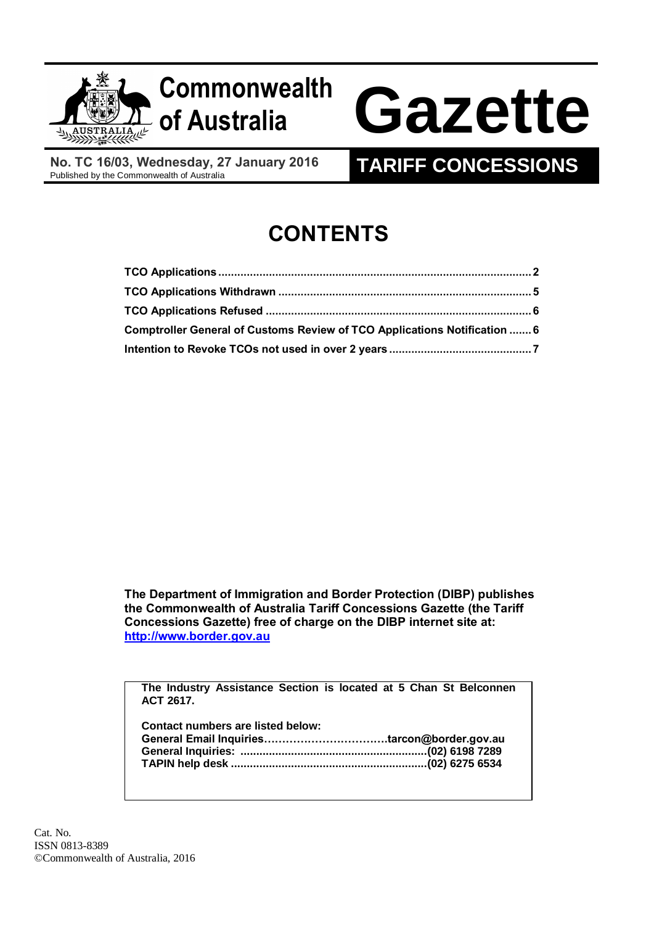

**No. TC 16/03, Wednesday, 27 January 2016**<br>Published by the Commonwealth of Australia

## **TARIFF CONCESSIONS**

# **CONTENTS**

| Comptroller General of Customs Review of TCO Applications Notification  6 |  |
|---------------------------------------------------------------------------|--|
|                                                                           |  |

**The Department of Immigration and Border Protection (DIBP) publishes the Commonwealth of Australia Tariff Concessions Gazette (the Tariff Concessions Gazette) free of charge on the DIBP internet site at: [http://www.border.gov.au](http://www.border.gov.au/)**

**The Industry Assistance Section is located at 5 Chan St Belconnen ACT 2617.**

| <b>Contact numbers are listed below:</b> |  |
|------------------------------------------|--|
|                                          |  |
|                                          |  |
|                                          |  |
|                                          |  |

Cat. No. ISSN 0813-8389 ©Commonwealth of Australia, 2016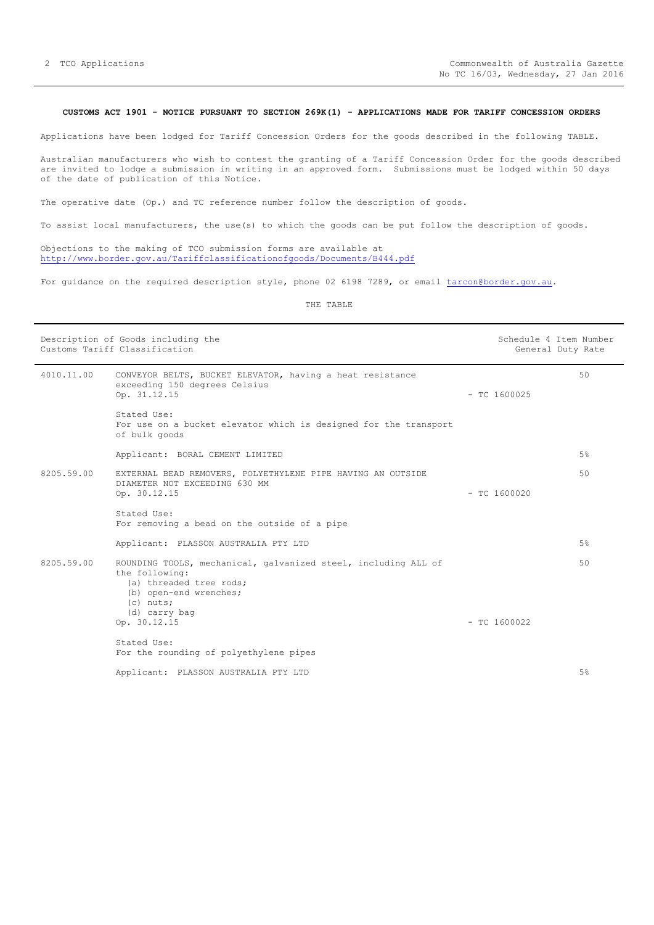### <span id="page-1-0"></span>**CUSTOMS ACT 1901 - NOTICE PURSUANT TO SECTION 269K(1) - APPLICATIONS MADE FOR TARIFF CONCESSION ORDERS**

Applications have been lodged for Tariff Concession Orders for the goods described in the following TABLE.

Australian manufacturers who wish to contest the granting of a Tariff Concession Order for the goods described are invited to lodge a submission in writing in an approved form. Submissions must be lodged within 50 days of the date of publication of this Notice.

The operative date (Op.) and TC reference number follow the description of goods.

To assist local manufacturers, the use(s) to which the goods can be put follow the description of goods.

Objections to the making of TCO submission forms are available at <http://www.border.gov.au/Tariffclassificationofgoods/Documents/B444.pdf>

For guidance on the required description style, phone 02 6198 7289, or email [tarcon@border.gov.au.](mailto:tarcon@border.gov.au)

THE TABLE

|            | Description of Goods including the<br>Customs Tariff Classification                                                                                                   |                | Schedule 4 Item Number<br>General Duty Rate |
|------------|-----------------------------------------------------------------------------------------------------------------------------------------------------------------------|----------------|---------------------------------------------|
| 4010.11.00 | CONVEYOR BELTS, BUCKET ELEVATOR, having a heat resistance<br>exceeding 150 degrees Celsius<br>Op. 31.12.15                                                            | $-$ TC 1600025 | 50                                          |
|            | Stated Use:<br>For use on a bucket elevator which is designed for the transport<br>of bulk goods                                                                      |                |                                             |
|            | Applicant: BORAL CEMENT LIMITED                                                                                                                                       |                | 5%                                          |
| 8205.59.00 | EXTERNAL BEAD REMOVERS, POLYETHYLENE PIPE HAVING AN OUTSIDE<br>DIAMETER NOT EXCEEDING 630 MM<br>Op. 30.12.15                                                          | $-$ TC 1600020 | 50                                          |
|            | Stated Use:<br>For removing a bead on the outside of a pipe                                                                                                           |                |                                             |
|            | Applicant: PLASSON AUSTRALIA PTY LTD                                                                                                                                  |                | 5%                                          |
| 8205.59.00 | ROUNDING TOOLS, mechanical, galvanized steel, including ALL of<br>the following:<br>(a) threaded tree rods;<br>(b) open-end wrenches;<br>$(c)$ nuts;<br>(d) carry bag |                | 50                                          |
|            | Op. 30.12.15                                                                                                                                                          | $-$ TC 1600022 |                                             |
|            | Stated Use:<br>For the rounding of polyethylene pipes                                                                                                                 |                |                                             |
|            | Applicant: PLASSON AUSTRALIA PTY LTD                                                                                                                                  |                | 5%                                          |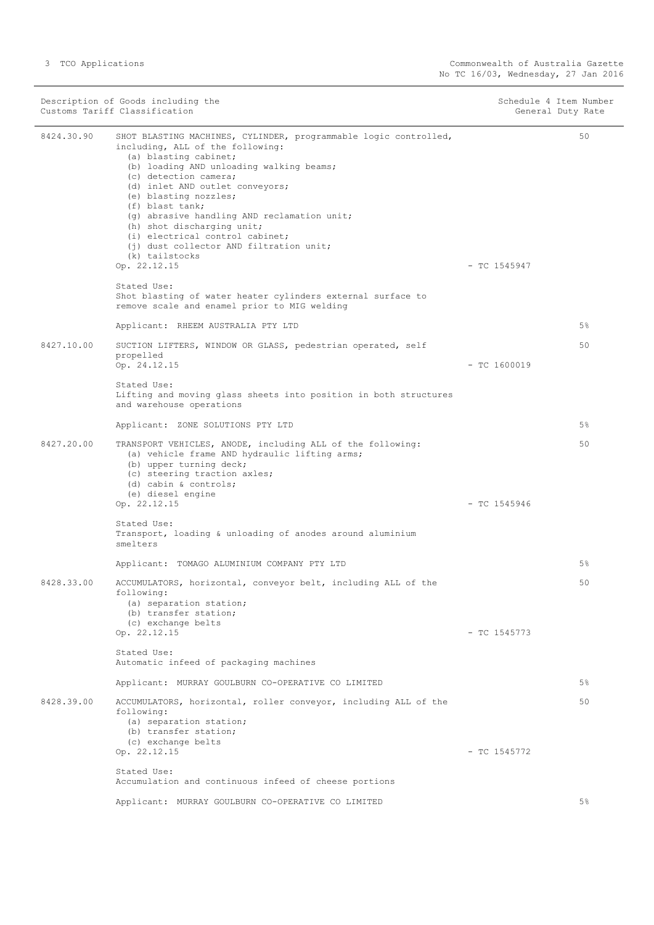|            | Description of Goods including the<br>Customs Tariff Classification                                                                                                                                                                                                                                                                                                                                                                                            | Schedule 4 Item Number<br>General Duty Rate |    |
|------------|----------------------------------------------------------------------------------------------------------------------------------------------------------------------------------------------------------------------------------------------------------------------------------------------------------------------------------------------------------------------------------------------------------------------------------------------------------------|---------------------------------------------|----|
| 8424.30.90 | SHOT BLASTING MACHINES, CYLINDER, programmable logic controlled,<br>including, ALL of the following:<br>(a) blasting cabinet;<br>(b) loading AND unloading walking beams;<br>(c) detection camera;<br>(d) inlet AND outlet conveyors;<br>(e) blasting nozzles;<br>(f) blast tank;<br>(g) abrasive handling AND reclamation unit;<br>(h) shot discharging unit;<br>(i) electrical control cabinet;<br>(i) dust collector AND filtration unit;<br>(k) tailstocks |                                             | 50 |
|            | Op. 22.12.15                                                                                                                                                                                                                                                                                                                                                                                                                                                   | $-$ TC 1545947                              |    |
|            | Stated Use:<br>Shot blasting of water heater cylinders external surface to<br>remove scale and enamel prior to MIG welding                                                                                                                                                                                                                                                                                                                                     |                                             |    |
|            | Applicant: RHEEM AUSTRALIA PTY LTD                                                                                                                                                                                                                                                                                                                                                                                                                             |                                             | 5% |
| 8427.10.00 | SUCTION LIFTERS, WINDOW OR GLASS, pedestrian operated, self<br>propelled<br>Op. 24.12.15                                                                                                                                                                                                                                                                                                                                                                       | $-$ TC 1600019                              | 50 |
|            | Stated Use:<br>Lifting and moving glass sheets into position in both structures<br>and warehouse operations                                                                                                                                                                                                                                                                                                                                                    |                                             |    |
|            | Applicant: ZONE SOLUTIONS PTY LTD                                                                                                                                                                                                                                                                                                                                                                                                                              |                                             | 5% |
| 8427.20.00 | TRANSPORT VEHICLES, ANODE, including ALL of the following:<br>(a) vehicle frame AND hydraulic lifting arms;<br>(b) upper turning deck;<br>(c) steering traction axles;<br>(d) cabin $\&$ controls;<br>(e) diesel engine<br>Op. 22.12.15                                                                                                                                                                                                                        | $-$ TC 1545946                              | 50 |
|            | Stated Use:                                                                                                                                                                                                                                                                                                                                                                                                                                                    |                                             |    |
|            | Transport, loading & unloading of anodes around aluminium<br>smelters                                                                                                                                                                                                                                                                                                                                                                                          |                                             |    |
|            | Applicant: TOMAGO ALUMINIUM COMPANY PTY LTD                                                                                                                                                                                                                                                                                                                                                                                                                    |                                             | 5% |
| 8428.33.00 | ACCUMULATORS, horizontal, conveyor belt, including ALL of the<br>following:<br>(a) separation station;<br>(b) transfer station;<br>(c) exchange belts<br>Op. 22.12.15                                                                                                                                                                                                                                                                                          | $-$ TC 1545773                              | 50 |
|            | Stated Use:<br>Automatic infeed of packaging machines                                                                                                                                                                                                                                                                                                                                                                                                          |                                             |    |
|            | Applicant: MURRAY GOULBURN CO-OPERATIVE CO LIMITED                                                                                                                                                                                                                                                                                                                                                                                                             |                                             | 5% |
| 8428.39.00 | ACCUMULATORS, horizontal, roller conveyor, including ALL of the<br>following:<br>(a) separation station;<br>(b) transfer station;<br>(c) exchange belts<br>Op. 22.12.15                                                                                                                                                                                                                                                                                        | $-$ TC 1545772                              | 50 |
|            | Stated Use:<br>Accumulation and continuous infeed of cheese portions                                                                                                                                                                                                                                                                                                                                                                                           |                                             |    |
|            | Applicant: MURRAY GOULBURN CO-OPERATIVE CO LIMITED                                                                                                                                                                                                                                                                                                                                                                                                             |                                             | 5% |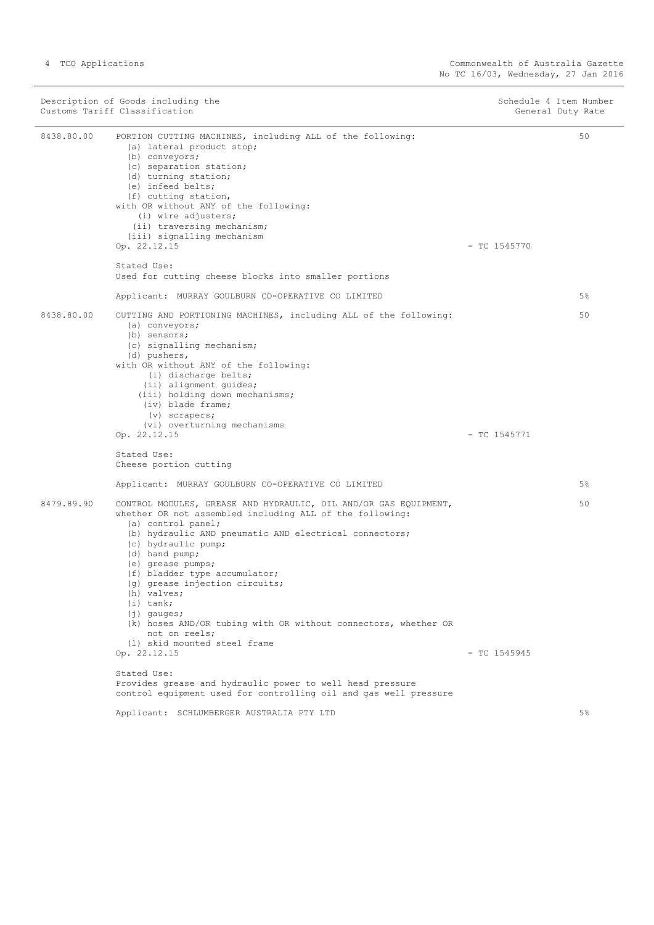|            | Description of Goods including the<br>Customs Tariff Classification                                                                                                                                                                                                                                                                                                                                                                                                                                                                                                                                         | Schedule 4 Item Number | General Duty Rate |
|------------|-------------------------------------------------------------------------------------------------------------------------------------------------------------------------------------------------------------------------------------------------------------------------------------------------------------------------------------------------------------------------------------------------------------------------------------------------------------------------------------------------------------------------------------------------------------------------------------------------------------|------------------------|-------------------|
| 8438.80.00 | PORTION CUTTING MACHINES, including ALL of the following:<br>(a) lateral product stop;<br>(b) conveyors;<br>(c) separation station;<br>(d) turning station;<br>(e) infeed belts;<br>(f) cutting station,<br>with OR without ANY of the following:<br>(i) wire adjusters;<br>(ii) traversing mechanism;<br>(iii) signalling mechanism<br>Op. 22.12.15                                                                                                                                                                                                                                                        | $-$ TC 1545770         | 50                |
|            | Stated Use:                                                                                                                                                                                                                                                                                                                                                                                                                                                                                                                                                                                                 |                        |                   |
|            | Used for cutting cheese blocks into smaller portions                                                                                                                                                                                                                                                                                                                                                                                                                                                                                                                                                        |                        |                   |
|            | Applicant: MURRAY GOULBURN CO-OPERATIVE CO LIMITED                                                                                                                                                                                                                                                                                                                                                                                                                                                                                                                                                          |                        | 5%                |
| 8438.80.00 | CUTTING AND PORTIONING MACHINES, including ALL of the following:<br>(a) conveyors;<br>(b) sensors;<br>(c) signalling mechanism;<br>(d) pushers,<br>with OR without ANY of the following:<br>(i) discharge belts;<br>(ii) alignment guides;<br>(iii) holding down mechanisms;<br>(iv) blade frame;<br>$(v)$ scrapers;<br>(vi) overturning mechanisms<br>Op. 22.12.15<br>Stated Use:                                                                                                                                                                                                                          | $-$ TC 1545771         | 50                |
|            | Cheese portion cutting                                                                                                                                                                                                                                                                                                                                                                                                                                                                                                                                                                                      |                        |                   |
|            | Applicant: MURRAY GOULBURN CO-OPERATIVE CO LIMITED                                                                                                                                                                                                                                                                                                                                                                                                                                                                                                                                                          |                        | 5%                |
| 8479.89.90 | CONTROL MODULES, GREASE AND HYDRAULIC, OIL AND/OR GAS EQUIPMENT,<br>whether OR not assembled including ALL of the following:<br>(a) control panel;<br>(b) hydraulic AND pneumatic AND electrical connectors;<br>(c) hydraulic pump;<br>(d) hand pump;<br>(e) grease pumps;<br>(f) bladder type accumulator;<br>(g) grease injection circuits;<br>(h) valves;<br>$(i)$ tank;<br>$(i)$ qauqes;<br>(k) hoses AND/OR tubing with OR without connectors, whether OR<br>not on reels;<br>(1) skid mounted steel frame<br>Op. 22.12.15<br>Stated Use:<br>Provides grease and hydraulic power to well head pressure | $-$ TC 1545945         | 50                |
|            | control equipment used for controlling oil and gas well pressure                                                                                                                                                                                                                                                                                                                                                                                                                                                                                                                                            |                        |                   |
|            | Applicant: SCHLUMBERGER AUSTRALIA PTY LTD                                                                                                                                                                                                                                                                                                                                                                                                                                                                                                                                                                   |                        | $5\%$             |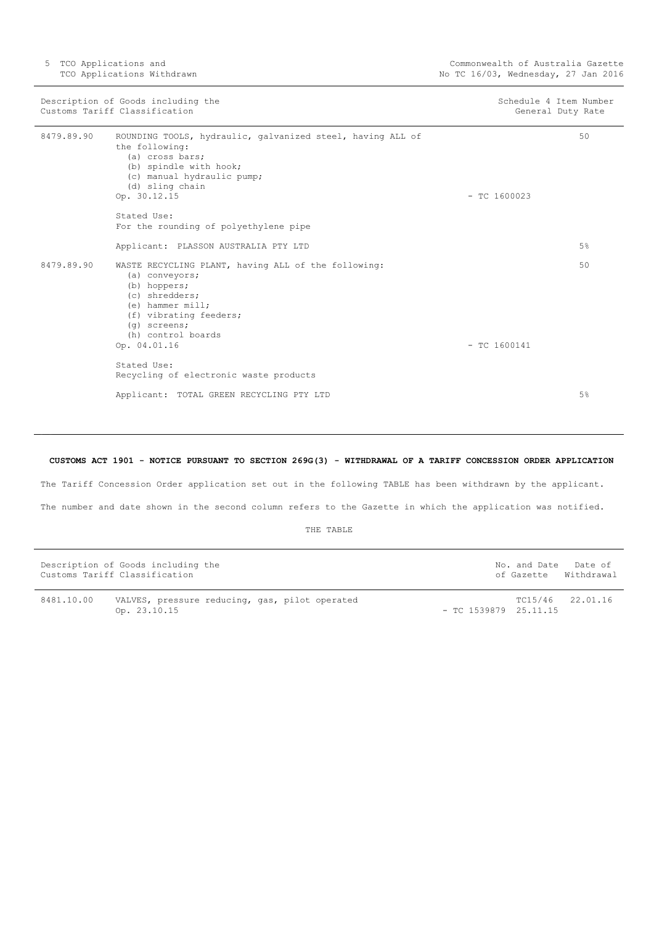5 TCO Applications and TCO Applications Withdrawn

| Description of Goods including the<br>Customs Tariff Classification |                                                                                                                                                                                                 | Schedule 4 Item Number<br>General Duty Rate |
|---------------------------------------------------------------------|-------------------------------------------------------------------------------------------------------------------------------------------------------------------------------------------------|---------------------------------------------|
| 8479.89.90                                                          | ROUNDING TOOLS, hydraulic, galvanized steel, having ALL of<br>the following:<br>(a) cross bars;<br>(b) spindle with hook;<br>(c) manual hydraulic pump;<br>(d) sling chain<br>Op. 30.12.15      | 50<br>$-$ TC 1600023                        |
|                                                                     | Stated Use:<br>For the rounding of polyethylene pipe                                                                                                                                            |                                             |
|                                                                     | Applicant: PLASSON AUSTRALIA PTY LTD                                                                                                                                                            | 5%                                          |
| 8479.89.90                                                          | WASTE RECYCLING PLANT, having ALL of the following:<br>(a) conveyors;<br>(b) hoppers;<br>(c) shredders;<br>$(e)$ hammer mill;<br>(f) vibrating feeders;<br>$(q)$ screens;<br>(h) control boards | 50                                          |
|                                                                     | Op. 04.01.16                                                                                                                                                                                    | $-$ TC 1600141                              |
|                                                                     | Stated Use:<br>Recycling of electronic waste products                                                                                                                                           |                                             |
|                                                                     | Applicant: TOTAL GREEN RECYCLING PTY LTD                                                                                                                                                        | 5%                                          |

## <span id="page-4-0"></span>**CUSTOMS ACT 1901 - NOTICE PURSUANT TO SECTION 269G(3) - WITHDRAWAL OF A TARIFF CONCESSION ORDER APPLICATION**

The Tariff Concession Order application set out in the following TABLE has been withdrawn by the applicant.

The number and date shown in the second column refers to the Gazette in which the application was notified.

THE TABLE

|            | Description of Goods including the<br>Customs Tariff Classification |  | No. and Date            | Date of<br>of Gazette Withdrawal |
|------------|---------------------------------------------------------------------|--|-------------------------|----------------------------------|
| 8481.10.00 | VALVES, pressure reducing, gas, pilot operated<br>Op. 23.10.15      |  | $-$ TC 1539879 25.11.15 | TC15/46 22.01.16                 |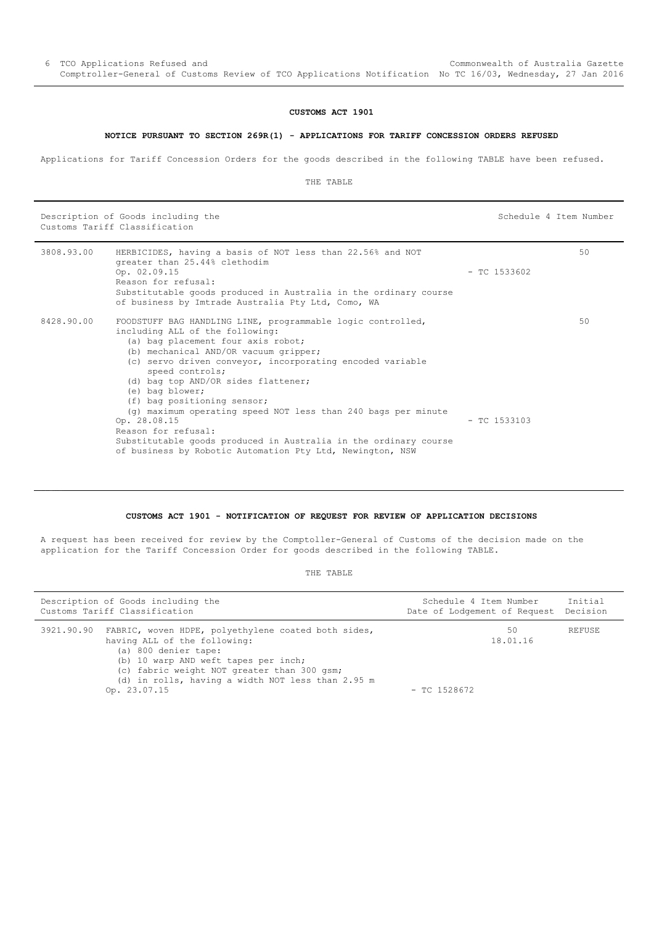#### **CUSTOMS ACT 1901**

#### **NOTICE PURSUANT TO SECTION 269R(1) - APPLICATIONS FOR TARIFF CONCESSION ORDERS REFUSED**

<span id="page-5-0"></span>Applications for Tariff Concession Orders for the goods described in the following TABLE have been refused.

THE TABLE

Description of Goods including the Schedule 4 Item Number Customs Tariff Classification

| 3808.93.00 | HERBICIDES, having a basis of NOT less than 22.56% and NOT<br>greater than 25.44% clethodim<br>Op. 02.09.15<br>Reason for refusal:<br>Substitutable goods produced in Australia in the ordinary course<br>of business by Imtrade Australia Pty Ltd, Como, WA                                                                                                                                                                                                                                                                                                                                      | $-$ TC 1533602 | 50 |
|------------|---------------------------------------------------------------------------------------------------------------------------------------------------------------------------------------------------------------------------------------------------------------------------------------------------------------------------------------------------------------------------------------------------------------------------------------------------------------------------------------------------------------------------------------------------------------------------------------------------|----------------|----|
| 8428.90.00 | FOODSTUFF BAG HANDLING LINE, programmable logic controlled,<br>including ALL of the following:<br>(a) bag placement four axis robot;<br>(b) mechanical AND/OR vacuum gripper;<br>(c) servo driven conveyor, incorporating encoded variable<br>speed controls;<br>(d) bag top AND/OR sides flattener;<br>(e) bag blower;<br>(f) bag positioning sensor;<br>$(q)$ maximum operating speed NOT less than 240 bags per minute<br>Op. 28.08.15<br>Reason for refusal:<br>Substitutable goods produced in Australia in the ordinary course<br>of business by Robotic Automation Pty Ltd, Newington, NSW | $-$ TC 1533103 | 50 |

## **CUSTOMS ACT 1901 - NOTIFICATION OF REQUEST FOR REVIEW OF APPLICATION DECISIONS**

<span id="page-5-1"></span>A request has been received for review by the Comptoller-General of Customs of the decision made on the application for the Tariff Concession Order for goods described in the following TABLE.

THE TABLE

| Description of Goods including the<br>Customs Tariff Classification |                                                                                                                                                                                                                                                                                    | Schedule 4 Item Number<br>Date of Lodgement of Request Decision |                | Initial       |
|---------------------------------------------------------------------|------------------------------------------------------------------------------------------------------------------------------------------------------------------------------------------------------------------------------------------------------------------------------------|-----------------------------------------------------------------|----------------|---------------|
|                                                                     | 3921.90.90 FABRIC, woven HDPE, polyethylene coated both sides,<br>having ALL of the following:<br>(a) 800 denier tape:<br>(b) 10 warp AND weft tapes per inch;<br>(c) fabric weight NOT greater than 300 gsm;<br>(d) in rolls, having a width NOT less than 2.95 m<br>Op. 23.07.15 | $-$ TC 1528672                                                  | 50<br>18.01.16 | <b>REFUSE</b> |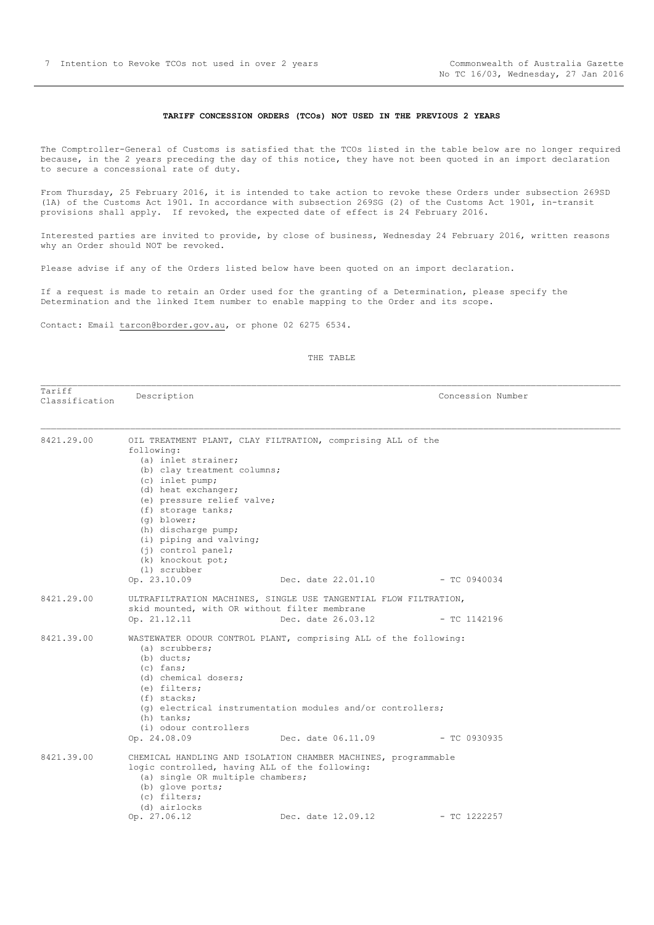#### **TARIFF CONCESSION ORDERS (TCOs) NOT USED IN THE PREVIOUS 2 YEARS**

<span id="page-6-0"></span>The Comptroller-General of Customs is satisfied that the TCOs listed in the table below are no longer required because, in the 2 years preceding the day of this notice, they have not been quoted in an import declaration to secure a concessional rate of duty.

From Thursday, 25 February 2016, it is intended to take action to revoke these Orders under subsection 269SD (1A) of the Customs Act 1901. In accordance with subsection 269SG (2) of the Customs Act 1901, in-transit provisions shall apply. If revoked, the expected date of effect is 24 February 2016.

Interested parties are invited to provide, by close of business, Wednesday 24 February 2016, written reasons why an Order should NOT be revoked.

Please advise if any of the Orders listed below have been quoted on an import declaration.

If a request is made to retain an Order used for the granting of a Determination, please specify the Determination and the linked Item number to enable mapping to the Order and its scope.

Contact: Email tarcon@border.gov.au, or phone 02 6275 6534.

THE TABLE

Tariff Classification Description Concession Number

| 8421.29.00<br>OIL TREATMENT PLANT, CLAY FILTRATION, comprising ALL of the |                                                                                                                                                             |                                                                                                                                                                     |  |  |  |
|---------------------------------------------------------------------------|-------------------------------------------------------------------------------------------------------------------------------------------------------------|---------------------------------------------------------------------------------------------------------------------------------------------------------------------|--|--|--|
|                                                                           | following:                                                                                                                                                  |                                                                                                                                                                     |  |  |  |
|                                                                           | (a) inlet strainer;                                                                                                                                         |                                                                                                                                                                     |  |  |  |
|                                                                           | (b) clay treatment columns;                                                                                                                                 |                                                                                                                                                                     |  |  |  |
|                                                                           | (c) inlet pump;                                                                                                                                             |                                                                                                                                                                     |  |  |  |
|                                                                           | (d) heat exchanger;                                                                                                                                         |                                                                                                                                                                     |  |  |  |
|                                                                           | (e) pressure relief valve;                                                                                                                                  |                                                                                                                                                                     |  |  |  |
|                                                                           | (f) storage tanks;                                                                                                                                          |                                                                                                                                                                     |  |  |  |
|                                                                           | (g) blower;                                                                                                                                                 |                                                                                                                                                                     |  |  |  |
|                                                                           | (h) discharge pump;                                                                                                                                         |                                                                                                                                                                     |  |  |  |
|                                                                           | (i) piping and valving;                                                                                                                                     |                                                                                                                                                                     |  |  |  |
|                                                                           | $(i)$ control panel;                                                                                                                                        |                                                                                                                                                                     |  |  |  |
|                                                                           | (k) knockout pot;                                                                                                                                           |                                                                                                                                                                     |  |  |  |
|                                                                           | (1) scrubber                                                                                                                                                |                                                                                                                                                                     |  |  |  |
|                                                                           | Op. 23.10.09                                                                                                                                                | Dec. date 22.01.10 - TC 0940034                                                                                                                                     |  |  |  |
| 8421.29.00                                                                |                                                                                                                                                             | ULTRAFILTRATION MACHINES, SINGLE USE TANGENTIAL FLOW FILTRATION,                                                                                                    |  |  |  |
|                                                                           | skid mounted, with OR without filter membrane                                                                                                               |                                                                                                                                                                     |  |  |  |
|                                                                           | Op. 21.12.11                                                                                                                                                | Dec. date 26.03.12 - TC 1142196                                                                                                                                     |  |  |  |
| 8421.39.00                                                                | (a) scrubbers;<br>$(b)$ ducts;<br>$(c)$ fans;<br>(d) chemical dosers;<br>(e) filters;<br>(f) stacks;<br>(h) tanks;<br>(i) odour controllers<br>Op. 24.08.09 | WASTEWATER ODOUR CONTROL PLANT, comprising ALL of the following:<br>$(q)$ electrical instrumentation modules and/or controllers;<br>Dec. date 06.11.09 - TC 0930935 |  |  |  |
| 8421.39.00                                                                | logic controlled, having ALL of the following:<br>(a) single OR multiple chambers;<br>(b) glove ports;                                                      | CHEMICAL HANDLING AND ISOLATION CHAMBER MACHINES, programmable                                                                                                      |  |  |  |
|                                                                           | (c) filters;<br>(d) airlocks                                                                                                                                |                                                                                                                                                                     |  |  |  |
|                                                                           | Op. 27.06.12                                                                                                                                                | Dec. date 12.09.12 - TC 1222257                                                                                                                                     |  |  |  |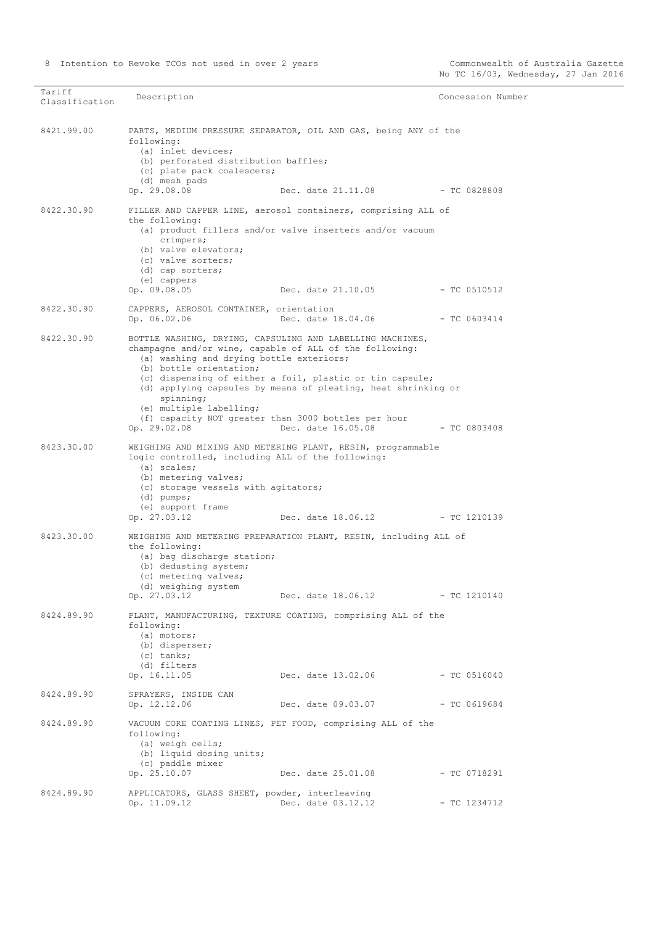| Tariff<br>Classification | Description                                                                                                                                                                                                                                   |                                                                                                                                                                                                              | Concession Number |
|--------------------------|-----------------------------------------------------------------------------------------------------------------------------------------------------------------------------------------------------------------------------------------------|--------------------------------------------------------------------------------------------------------------------------------------------------------------------------------------------------------------|-------------------|
| 8421.99.00               | following:<br>(a) inlet devices;<br>(b) perforated distribution baffles;<br>(c) plate pack coalescers;<br>(d) mesh pads<br>Op. 29.08.08                                                                                                       | PARTS, MEDIUM PRESSURE SEPARATOR, OIL AND GAS, being ANY of the<br>Dec. date 21.11.08                                                                                                                        | $-TC0828808$      |
| 8422.30.90               | the following:<br>crimpers;<br>(b) valve elevators;<br>(c) valve sorters;<br>(d) cap sorters;<br>(e) cappers<br>Op. 09.08.05                                                                                                                  | FILLER AND CAPPER LINE, aerosol containers, comprising ALL of<br>(a) product fillers and/or valve inserters and/or vacuum<br>Dec. date 21.10.05                                                              | - TC 0510512      |
| 8422.30.90               | CAPPERS, AEROSOL CONTAINER, orientation<br>Op. 06.02.06                                                                                                                                                                                       | Dec. date 18.04.06                                                                                                                                                                                           | $-$ TC 0603414    |
| 8422.30.90               | champagne and/or wine, capable of ALL of the following:<br>(a) washing and drying bottle exteriors;<br>(b) bottle orientation;<br>spinning;<br>(e) multiple labelling;<br>(f) capacity NOT greater than 3000 bottles per hour<br>Op. 29.02.08 | BOTTLE WASHING, DRYING, CAPSULING AND LABELLING MACHINES,<br>(c) dispensing of either a foil, plastic or tin capsule;<br>(d) applying capsules by means of pleating, heat shrinking or<br>Dec. date 16.05.08 | - TC 0803408      |
| 8423.30.00               | logic controlled, including ALL of the following:<br>(a) scales;<br>(b) metering valves;<br>(c) storage vessels with agitators;<br>$(d)$ pumps;<br>(e) support frame<br>Op. 27.03.12                                                          | WEIGHING AND MIXING AND METERING PLANT, RESIN, programmable<br>Dec. date 18.06.12                                                                                                                            | $-$ TC 1210139    |
| 8423.30.00               | the following:<br>(a) bag discharge station;<br>(b) dedusting system;<br>(c) metering valves;<br>(d) weighing system<br>Op. 27.03.12                                                                                                          | WEIGHING AND METERING PREPARATION PLANT, RESIN, including ALL of<br>Dec. date $18.06.12$ - TC 1210140                                                                                                        |                   |
| 8424.89.90               | following:<br>(a) motors;<br>(b) disperser;<br>$(c)$ tanks;<br>(d) filters<br>Op. 16.11.05                                                                                                                                                    | PLANT, MANUFACTURING, TEXTURE COATING, comprising ALL of the<br>Dec. date 13.02.06                                                                                                                           | - TC 0516040      |
| 8424.89.90               | SPRAYERS, INSIDE CAN<br>Op. 12.12.06                                                                                                                                                                                                          | Dec. date 09.03.07                                                                                                                                                                                           | $-$ TC 0619684    |
| 8424.89.90               | following:<br>(a) weigh cells;<br>(b) liquid dosing units;<br>(c) paddle mixer<br>Op. 25.10.07                                                                                                                                                | VACUUM CORE COATING LINES, PET FOOD, comprising ALL of the<br>Dec. date 25.01.08                                                                                                                             | - TC 0718291      |
| 8424.89.90               | APPLICATORS, GLASS SHEET, powder, interleaving<br>Op. 11.09.12                                                                                                                                                                                | Dec. date 03.12.12                                                                                                                                                                                           | $-$ TC 1234712    |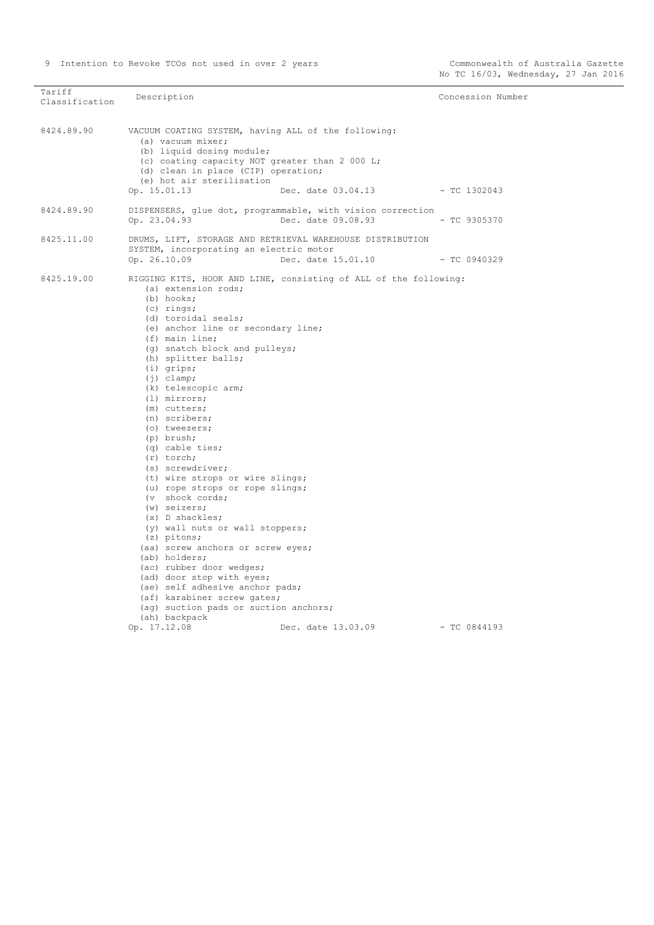| Tariff<br>Classification | Description                                                                                                                                                                                                                                                                                                                                                                                                                                                                                                                                                                                                                                                                                                                                                                                                                               |                                                                                        | Concession Number |
|--------------------------|-------------------------------------------------------------------------------------------------------------------------------------------------------------------------------------------------------------------------------------------------------------------------------------------------------------------------------------------------------------------------------------------------------------------------------------------------------------------------------------------------------------------------------------------------------------------------------------------------------------------------------------------------------------------------------------------------------------------------------------------------------------------------------------------------------------------------------------------|----------------------------------------------------------------------------------------|-------------------|
| 8424.89.90               | VACUUM COATING SYSTEM, having ALL of the following:<br>(a) vacuum mixer;<br>(b) liquid dosing module;<br>(c) coating capacity NOT greater than 2 000 L;<br>(d) clean in place (CIP) operation;<br>(e) hot air sterilisation<br>Op. 15.01.13                                                                                                                                                                                                                                                                                                                                                                                                                                                                                                                                                                                               | Dec. date 03.04.13                                                                     | - TC 1302043      |
| 8424.89.90               |                                                                                                                                                                                                                                                                                                                                                                                                                                                                                                                                                                                                                                                                                                                                                                                                                                           | DISPENSERS, glue dot, programmable, with vision correction                             |                   |
|                          | Op. 23.04.93                                                                                                                                                                                                                                                                                                                                                                                                                                                                                                                                                                                                                                                                                                                                                                                                                              | Dec. date 09.08.93                                                                     | $-$ TC 9305370    |
| 8425.11.00               | SYSTEM, incorporating an electric motor<br>Op. 26.10.09                                                                                                                                                                                                                                                                                                                                                                                                                                                                                                                                                                                                                                                                                                                                                                                   | DRUMS, LIFT, STORAGE AND RETRIEVAL WAREHOUSE DISTRIBUTION<br>Dec. date 15.01.10        | $-TC0940329$      |
| 8425.19.00               | (a) extension rods;<br>(b) hooks;<br>$(c)$ rings;<br>(d) toroidal seals;<br>(e) anchor line or secondary line;<br>$(f)$ main line;<br>(g) snatch block and pulleys;<br>(h) splitter balls;<br>$(i)$ grips;<br>$(j)$ clamp;<br>(k) telescopic arm;<br>(1) mirrors;<br>(m) cutters;<br>(n) scribers;<br>(o) tweezers;<br>(p) brush;<br>$(q)$ cable ties;<br>$(r)$ torch;<br>(s) screwdriver;<br>(t) wire strops or wire slings;<br>(u) rope strops or rope slings;<br>(v shock cords;<br>$(w)$ seizers;<br>$(x)$ D shackles;<br>(y) wall nuts or wall stoppers;<br>$(z)$ pitons;<br>(aa) screw anchors or screw eyes;<br>(ab) holders;<br>(ac) rubber door wedges;<br>(ad) door stop with eyes;<br>(ae) self adhesive anchor pads;<br>(af) karabiner screw gates;<br>(ag) suction pads or suction anchors;<br>(ah) backpack<br>Op. 17.12.08 | RIGGING KITS, HOOK AND LINE, consisting of ALL of the following:<br>Dec. date 13.03.09 | $-$ TC 0844193    |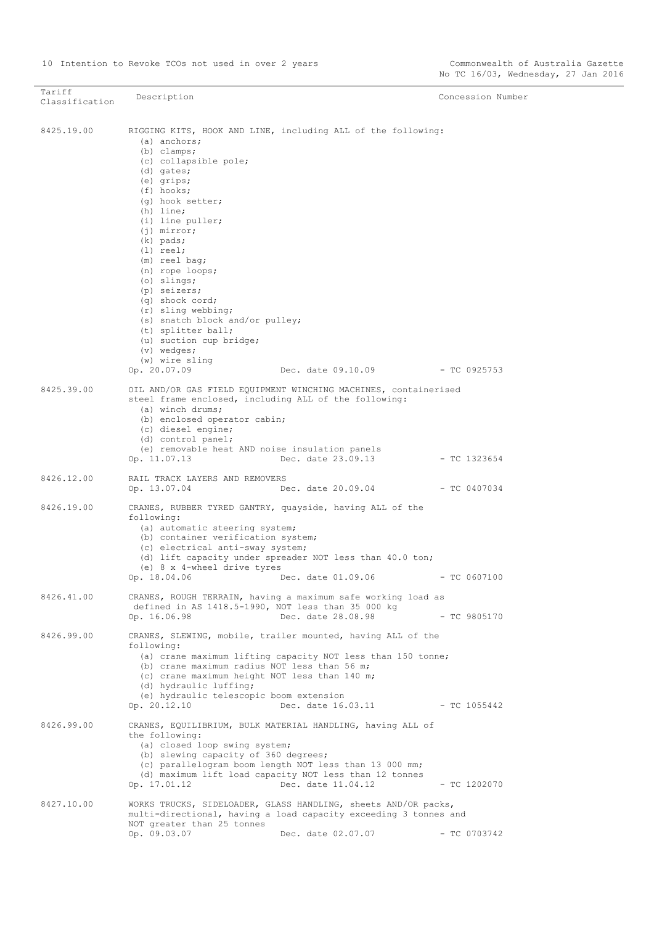| Tariff<br>Classification | Description                                                                                                                                                                                                                                                                                                                                                                                                                                                                                                 |                                                                                   | Concession Number |
|--------------------------|-------------------------------------------------------------------------------------------------------------------------------------------------------------------------------------------------------------------------------------------------------------------------------------------------------------------------------------------------------------------------------------------------------------------------------------------------------------------------------------------------------------|-----------------------------------------------------------------------------------|-------------------|
|                          |                                                                                                                                                                                                                                                                                                                                                                                                                                                                                                             |                                                                                   |                   |
| 8425.19.00               | RIGGING KITS, HOOK AND LINE, including ALL of the following:<br>(a) anchors;<br>$(b)$ clamps;<br>(c) collapsible pole;<br>(d) gates;<br>(e) grips;<br>$(f)$ hooks;<br>(g) hook setter;<br>$(h)$ line;<br>(i) line puller;<br>$(i)$ mirror;<br>$(k)$ pads;<br>$(1)$ reel;<br>(m) reel bag;<br>(n) rope loops;<br>$(o)$ slings;<br>(p) seizers;<br>(q) shock cord;<br>(r) sling webbing;<br>(s) snatch block and/or pulley;<br>(t) splitter ball;<br>(u) suction cup bridge;<br>(v) wedges;<br>(w) wire sling | Dec. date 09.10.09 - TC 0925753                                                   |                   |
|                          | Op. 20.07.09                                                                                                                                                                                                                                                                                                                                                                                                                                                                                                |                                                                                   |                   |
| 8425.39.00               | OIL AND/OR GAS FIELD EQUIPMENT WINCHING MACHINES, containerised<br>steel frame enclosed, including ALL of the following:<br>(a) winch drums;<br>(b) enclosed operator cabin;<br>(c) diesel engine;<br>(d) control panel;<br>(e) removable heat AND noise insulation panels<br>Op. 11.07.13                                                                                                                                                                                                                  | Dec. date 23.09.13                                                                | $-$ TC 1323654    |
| 8426.12.00               | RAIL TRACK LAYERS AND REMOVERS<br>Op. 13.07.04                                                                                                                                                                                                                                                                                                                                                                                                                                                              | $Dec. date 20.09.04$ - TC 0407034                                                 |                   |
| 8426.19.00               | CRANES, RUBBER TYRED GANTRY, quayside, having ALL of the<br>following:<br>(a) automatic steering system;<br>(b) container verification system;<br>(c) electrical anti-sway system;<br>(e) 8 x 4-wheel drive tyres<br>Op. 18.04.06                                                                                                                                                                                                                                                                           | (d) lift capacity under spreader NOT less than 40.0 ton;<br>Dec. date 01.09.06    | $-$ TC 0607100    |
| 8426.41.00               | CRANES, ROUGH TERRAIN, having a maximum safe working load as<br>defined in AS 1418.5-1990, NOT less than 35 000 kg<br>Op. 16.06.98                                                                                                                                                                                                                                                                                                                                                                          | Dec. date 28.08.98                                                                | $-$ TC 9805170    |
| 8426.99.00               | CRANES, SLEWING, mobile, trailer mounted, having ALL of the<br>following:<br>(b) crane maximum radius NOT less than 56 m;<br>(c) crane maximum height NOT less than 140 m;<br>(d) hydraulic luffing;<br>(e) hydraulic telescopic boom extension<br>Op. 20.12.10                                                                                                                                                                                                                                             | (a) crane maximum lifting capacity NOT less than 150 tonne;<br>Dec. date 16.03.11 | $-$ TC 1055442    |
| 8426.99.00               | CRANES, EQUILIBRIUM, BULK MATERIAL HANDLING, having ALL of<br>the following:<br>(a) closed loop swing system;<br>(b) slewing capacity of 360 degrees;<br>(c) parallelogram boom length NOT less than 13 000 mm;<br>(d) maximum lift load capacity NOT less than 12 tonnes<br>Op. 17.01.12                                                                                                                                                                                                                   | Dec. date 11.04.12                                                                | $-$ TC 1202070    |
| 8427.10.00               | WORKS TRUCKS, SIDELOADER, GLASS HANDLING, sheets AND/OR packs,<br>multi-directional, having a load capacity exceeding 3 tonnes and<br>NOT greater than 25 tonnes<br>Op. 09.03.07                                                                                                                                                                                                                                                                                                                            | Dec. date 02.07.07                                                                | $-$ TC 0703742    |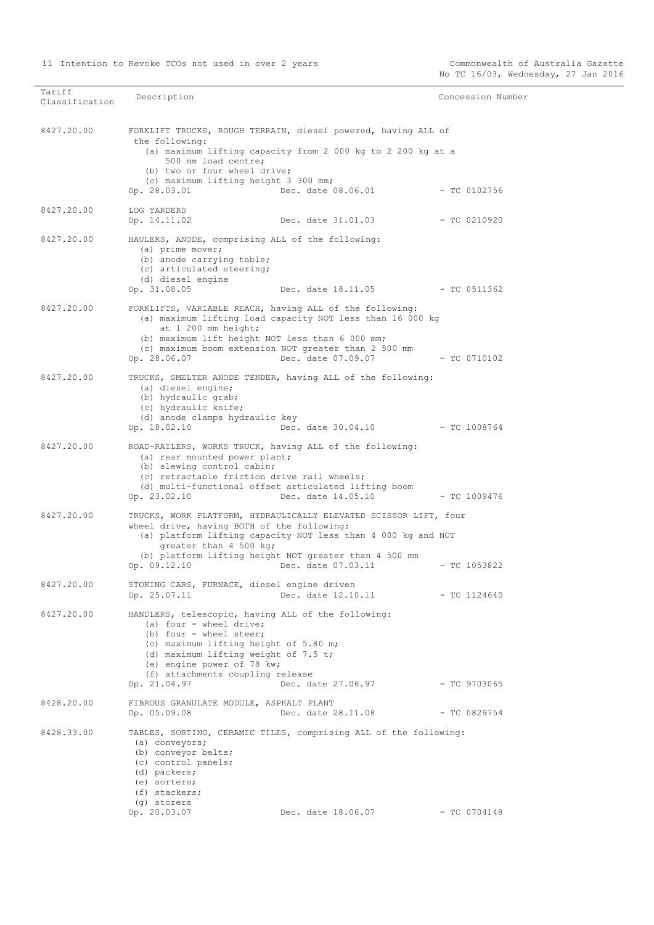| Tariff         | Description                                                                                                                                                                                                                                                                       |                                                             | Concession Number |
|----------------|-----------------------------------------------------------------------------------------------------------------------------------------------------------------------------------------------------------------------------------------------------------------------------------|-------------------------------------------------------------|-------------------|
| Classification |                                                                                                                                                                                                                                                                                   |                                                             |                   |
| 8427.20.00     | FORKLIFT TRUCKS, ROUGH TERRAIN, diesel powered, having ALL of<br>the following:<br>500 mm load centre;                                                                                                                                                                            | (a) maximum lifting capacity from 2 000 kg to 2 200 kg at a |                   |
|                | (b) two or four wheel drive;<br>(c) maximum lifting height 3 300 mm;<br>Op. 28.03.01                                                                                                                                                                                              | Dec. date 08.06.01                                          | - TC 0102756      |
| 8427.20.00     | LOG YARDERS<br>Op. 14.11.02                                                                                                                                                                                                                                                       | Dec. date 31.01.03                                          | $-$ TC 0210920    |
| 8427.20.00     | HAULERS, ANODE, comprising ALL of the following:<br>(a) prime mover;<br>(b) anode carrying table;<br>(c) articulated steering;<br>(d) diesel engine<br>Op. 31.08.05                                                                                                               | Dec. date 18.11.05 - TC 0511362                             |                   |
| 8427.20.00     | FORKLIFTS, VARIABLE REACH, having ALL of the following:<br>(a) maximum lifting load capacity NOT less than 16 000 kg<br>at 1 200 mm height;<br>(b) maximum lift height NOT less than 6 000 mm;<br>(c) maximum boom extension NOT greater than 2 500 mm<br>Op. 28.06.07            | Dec. date 07.09.07                                          | $-$ TC 0710102    |
| 8427.20.00     | TRUCKS, SMELTER ANODE TENDER, having ALL of the following:<br>(a) diesel engine;<br>(b) hydraulic grab;<br>(c) hydraulic knife;<br>(d) anode clamps hydraulic key<br>Op. 18.02.10                                                                                                 | Dec. date 30.04.10 - TC 1008764                             |                   |
| 8427.20.00     | ROAD-RAILERS, WORKS TRUCK, having ALL of the following:<br>(a) rear mounted power plant;<br>(b) slewing control cabin;<br>(c) retractable friction drive rail wheels;<br>(d) multi-functional offset articulated lifting boom<br>Op. 23.02.10                                     | Dec. date 14.05.10                                          | $-$ TC 1009476    |
| 8427.20.00     | TRUCKS, WORK PLATFORM, HYDRAULICALLY ELEVATED SCISSOR LIFT, four<br>wheel drive, having BOTH of the following:<br>(a) platform lifting capacity NOT less than 4 000 kg and NOT<br>greater than 4 500 kg;<br>(b) platform lifting height NOT greater than 4 500 mm<br>Op. 09.12.10 | Dec. date 07.03.11                                          | $-$ TC 1053822    |
| 8427.20.00     | STOKING CARS, FURNACE, diesel engine driven<br>Op. 25.07.11                                                                                                                                                                                                                       | Dec. date 12.10.11                                          | - TC 1124640      |
| 8427.20.00     | HANDLERS, telescopic, having ALL of the following:<br>(a) four - wheel drive;<br>(b) four - wheel steer;<br>(c) maximum lifting height of 5.80 m;<br>(d) maximum lifting weight of 7.5 t;<br>(e) engine power of 78 kw;<br>(f) attachments coupling release<br>Op. 21.04.97       | Dec. date 27.06.97                                          | - TC 9703065      |
| 8428.20.00     | FIBROUS GRANULATE MODULE, ASPHALT PLANT<br>Op. 05.09.08                                                                                                                                                                                                                           | Dec. date 28.11.08                                          | $-$ TC 0829754    |
| 8428.33.00     | TABLES, SORTING, CERAMIC TILES, comprising ALL of the following:<br>(a) conveyors;<br>(b) conveyor belts;<br>(c) control panels;<br>(d) packers;<br>(e) sorters;<br>(f) stackers;<br>(q) storers<br>Op. 20.03.07                                                                  | Dec. date 18.06.07                                          | $-$ TC 0704148    |
|                |                                                                                                                                                                                                                                                                                   |                                                             |                   |